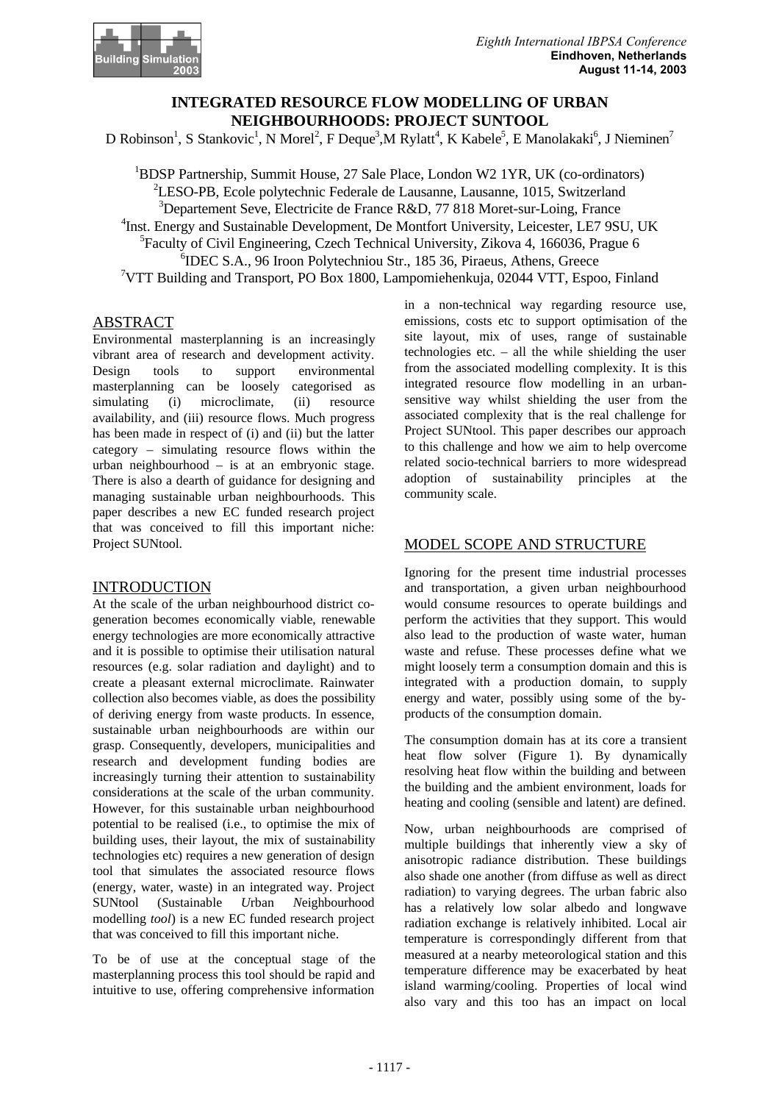

## **INTEGRATED RESOURCE FLOW MODELLING OF URBAN NEIGHBOURHOODS: PROJECT SUNTOOL**

D Robinson<sup>1</sup>, S Stankovic<sup>1</sup>, N Morel<sup>2</sup>, F Deque<sup>3</sup>, M Rylatt<sup>4</sup>, K Kabele<sup>5</sup>, E Manolakaki<sup>6</sup>, J Nieminen<sup>7</sup>

<sup>1</sup>BDSP Partnership, Summit House, 27 Sale Place, London W2 1YR, UK (co-ordinators) <sup>2</sup>LESO-PB, Ecole polytechnic Federale de Lausanne, Lausanne, 1015, Switzerland  $3$ Departement Seve, Electricite de France R&D, 77 818 Moret-sur-Loing, France <sup>4</sup>Inst. Energy and Sustainable Development, De Montfort University, Leicester, LE7 9SU, UK <sup>5</sup>Faculty of Civil Engineering, Czech Technical University, Zikova 4, 166036, Prague 6 6 IDEC S.A., 96 Iroon Polytechniou Str., 185 36, Piraeus, Athens, Greece <sup>7</sup>VTT Building and Transport, PO Box 1800, Lampomiehenkuja, 02044 VTT, Espoo, Finland

#### **ABSTRACT**

Environmental masterplanning is an increasingly vibrant area of research and development activity. Design tools to support environmental masterplanning can be loosely categorised as simulating (i) microclimate, (ii) resource availability, and (iii) resource flows. Much progress has been made in respect of (i) and (ii) but the latter category – simulating resource flows within the urban neighbourhood – is at an embryonic stage. There is also a dearth of guidance for designing and managing sustainable urban neighbourhoods. This paper describes a new EC funded research project that was conceived to fill this important niche: Project SUNtool.

#### INTRODUCTION

At the scale of the urban neighbourhood district cogeneration becomes economically viable, renewable energy technologies are more economically attractive and it is possible to optimise their utilisation natural resources (e.g. solar radiation and daylight) and to create a pleasant external microclimate. Rainwater collection also becomes viable, as does the possibility of deriving energy from waste products. In essence, sustainable urban neighbourhoods are within our grasp. Consequently, developers, municipalities and research and development funding bodies are increasingly turning their attention to sustainability considerations at the scale of the urban community. However, for this sustainable urban neighbourhood potential to be realised (i.e., to optimise the mix of building uses, their layout, the mix of sustainability technologies etc) requires a new generation of design tool that simulates the associated resource flows (energy, water, waste) in an integrated way. Project SUNtool (*S*ustainable *U*rban *N*eighbourhood modelling *tool*) is a new EC funded research project that was conceived to fill this important niche.

To be of use at the conceptual stage of the masterplanning process this tool should be rapid and intuitive to use, offering comprehensive information

in a non-technical way regarding resource use, emissions, costs etc to support optimisation of the site layout, mix of uses, range of sustainable technologies etc. – all the while shielding the user from the associated modelling complexity. It is this integrated resource flow modelling in an urbansensitive way whilst shielding the user from the associated complexity that is the real challenge for Project SUNtool. This paper describes our approach to this challenge and how we aim to help overcome related socio-technical barriers to more widespread adoption of sustainability principles at the community scale.

## MODEL SCOPE AND STRUCTURE

Ignoring for the present time industrial processes and transportation, a given urban neighbourhood would consume resources to operate buildings and perform the activities that they support. This would also lead to the production of waste water, human waste and refuse. These processes define what we might loosely term a consumption domain and this is integrated with a production domain, to supply energy and water, possibly using some of the byproducts of the consumption domain.

The consumption domain has at its core a transient heat flow solver (Figure 1). By dynamically resolving heat flow within the building and between the building and the ambient environment, loads for heating and cooling (sensible and latent) are defined.

Now, urban neighbourhoods are comprised of multiple buildings that inherently view a sky of anisotropic radiance distribution. These buildings also shade one another (from diffuse as well as direct radiation) to varying degrees. The urban fabric also has a relatively low solar albedo and longwave radiation exchange is relatively inhibited. Local air temperature is correspondingly different from that measured at a nearby meteorological station and this temperature difference may be exacerbated by heat island warming/cooling. Properties of local wind also vary and this too has an impact on local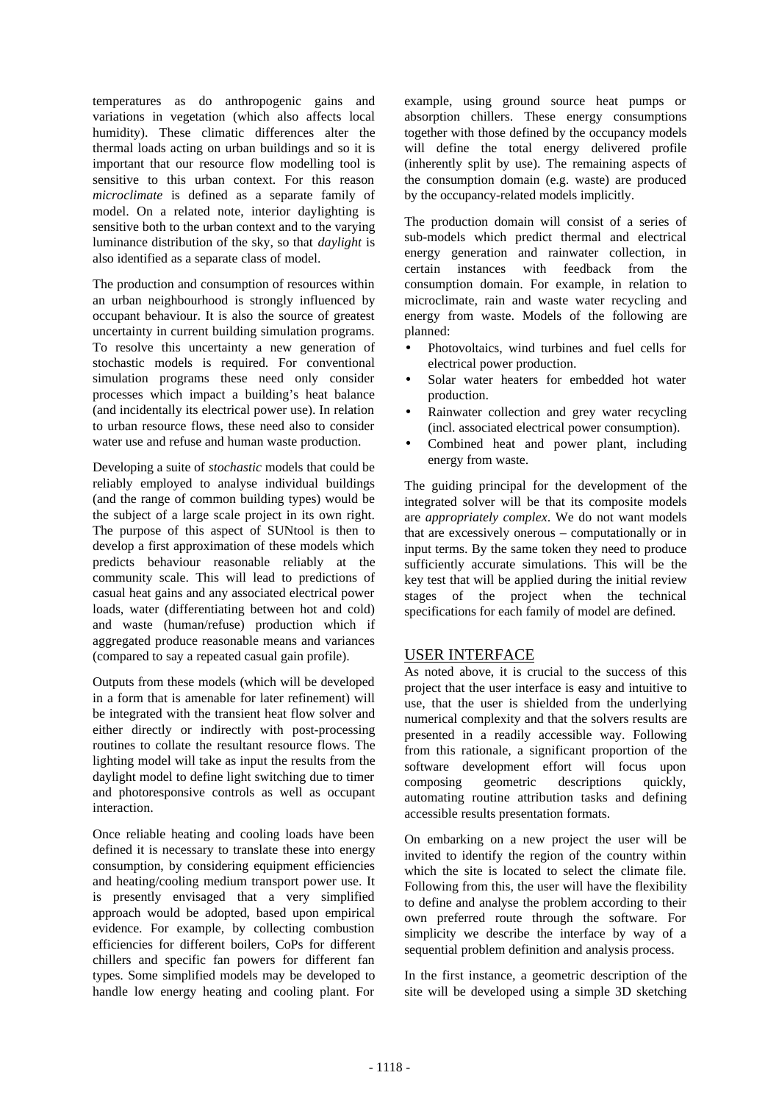temperatures as do anthropogenic gains and variations in vegetation (which also affects local humidity). These climatic differences alter the thermal loads acting on urban buildings and so it is important that our resource flow modelling tool is sensitive to this urban context. For this reason *microclimate* is defined as a separate family of model. On a related note, interior daylighting is sensitive both to the urban context and to the varying luminance distribution of the sky, so that *daylight* is also identified as a separate class of model.

The production and consumption of resources within an urban neighbourhood is strongly influenced by occupant behaviour. It is also the source of greatest uncertainty in current building simulation programs. To resolve this uncertainty a new generation of stochastic models is required. For conventional simulation programs these need only consider processes which impact a building's heat balance (and incidentally its electrical power use). In relation to urban resource flows, these need also to consider water use and refuse and human waste production.

Developing a suite of *stochastic* models that could be reliably employed to analyse individual buildings (and the range of common building types) would be the subject of a large scale project in its own right. The purpose of this aspect of SUNtool is then to develop a first approximation of these models which predicts behaviour reasonable reliably at the community scale. This will lead to predictions of casual heat gains and any associated electrical power loads, water (differentiating between hot and cold) and waste (human/refuse) production which if aggregated produce reasonable means and variances (compared to say a repeated casual gain profile).

Outputs from these models (which will be developed in a form that is amenable for later refinement) will be integrated with the transient heat flow solver and either directly or indirectly with post-processing routines to collate the resultant resource flows. The lighting model will take as input the results from the daylight model to define light switching due to timer and photoresponsive controls as well as occupant interaction.

Once reliable heating and cooling loads have been defined it is necessary to translate these into energy consumption, by considering equipment efficiencies and heating/cooling medium transport power use. It is presently envisaged that a very simplified approach would be adopted, based upon empirical evidence. For example, by collecting combustion efficiencies for different boilers, CoPs for different chillers and specific fan powers for different fan types. Some simplified models may be developed to handle low energy heating and cooling plant. For

example, using ground source heat pumps or absorption chillers. These energy consumptions together with those defined by the occupancy models will define the total energy delivered profile (inherently split by use). The remaining aspects of the consumption domain (e.g. waste) are produced by the occupancy-related models implicitly.

The production domain will consist of a series of sub-models which predict thermal and electrical energy generation and rainwater collection, in certain instances with feedback from the consumption domain. For example, in relation to microclimate, rain and waste water recycling and energy from waste. Models of the following are planned:

- Photovoltaics, wind turbines and fuel cells for electrical power production.
- Solar water heaters for embedded hot water production.
- Rainwater collection and grey water recycling (incl. associated electrical power consumption).
- Combined heat and power plant, including energy from waste.

The guiding principal for the development of the integrated solver will be that its composite models are *appropriately complex*. We do not want models that are excessively onerous – computationally or in input terms. By the same token they need to produce sufficiently accurate simulations. This will be the key test that will be applied during the initial review stages of the project when the technical specifications for each family of model are defined.

## USER INTERFACE

As noted above, it is crucial to the success of this project that the user interface is easy and intuitive to use, that the user is shielded from the underlying numerical complexity and that the solvers results are presented in a readily accessible way. Following from this rationale, a significant proportion of the software development effort will focus upon composing geometric descriptions quickly, automating routine attribution tasks and defining accessible results presentation formats.

On embarking on a new project the user will be invited to identify the region of the country within which the site is located to select the climate file. Following from this, the user will have the flexibility to define and analyse the problem according to their own preferred route through the software. For simplicity we describe the interface by way of a sequential problem definition and analysis process.

In the first instance, a geometric description of the site will be developed using a simple 3D sketching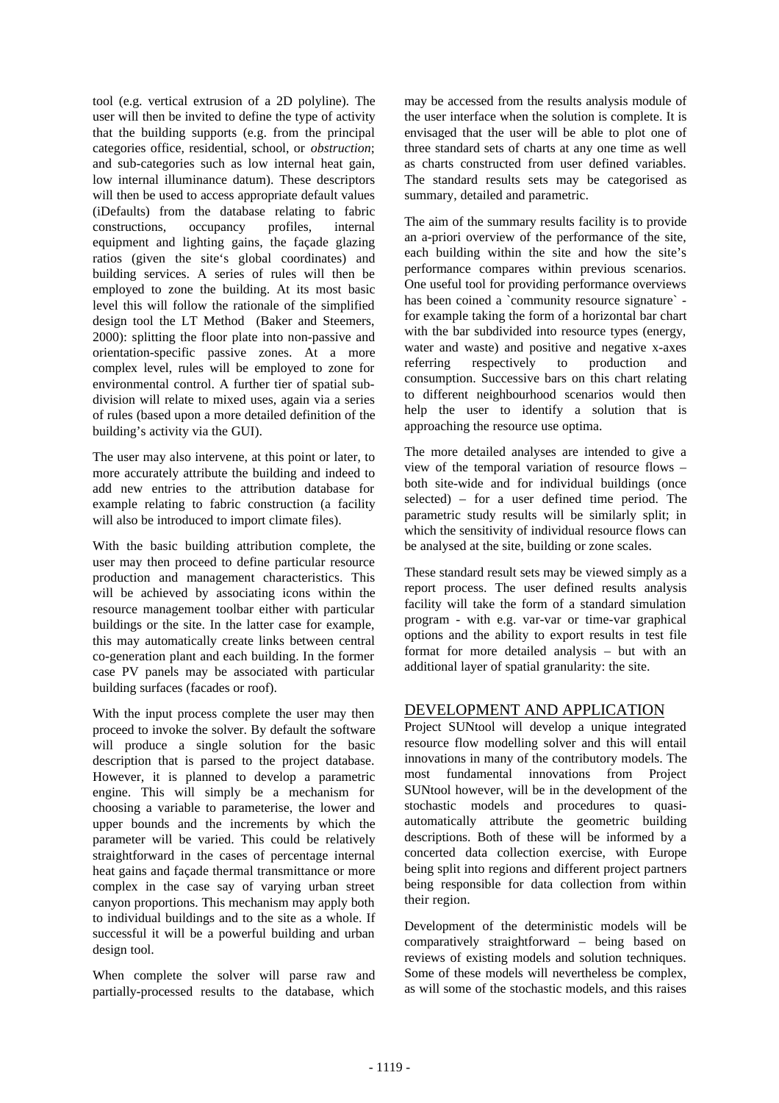tool (e.g. vertical extrusion of a 2D polyline). The user will then be invited to define the type of activity that the building supports (e.g. from the principal categories office, residential, school, or *obstruction*; and sub-categories such as low internal heat gain, low internal illuminance datum). These descriptors will then be used to access appropriate default values (iDefaults) from the database relating to fabric constructions, occupancy profiles, internal equipment and lighting gains, the façade glazing ratios (given the site's global coordinates) and building services. A series of rules will then be employed to zone the building. At its most basic level this will follow the rationale of the simplified design tool the LT Method (Baker and Steemers, 2000): splitting the floor plate into non-passive and orientation-specific passive zones. At a more complex level, rules will be employed to zone for environmental control. A further tier of spatial subdivision will relate to mixed uses, again via a series of rules (based upon a more detailed definition of the building's activity via the GUI).

The user may also intervene, at this point or later, to more accurately attribute the building and indeed to add new entries to the attribution database for example relating to fabric construction (a facility will also be introduced to import climate files).

With the basic building attribution complete, the user may then proceed to define particular resource production and management characteristics. This will be achieved by associating icons within the resource management toolbar either with particular buildings or the site. In the latter case for example, this may automatically create links between central co-generation plant and each building. In the former case PV panels may be associated with particular building surfaces (facades or roof).

With the input process complete the user may then proceed to invoke the solver. By default the software will produce a single solution for the basic description that is parsed to the project database. However, it is planned to develop a parametric engine. This will simply be a mechanism for choosing a variable to parameterise, the lower and upper bounds and the increments by which the parameter will be varied. This could be relatively straightforward in the cases of percentage internal heat gains and façade thermal transmittance or more complex in the case say of varying urban street canyon proportions. This mechanism may apply both to individual buildings and to the site as a whole. If successful it will be a powerful building and urban design tool.

When complete the solver will parse raw and partially-processed results to the database, which

may be accessed from the results analysis module of the user interface when the solution is complete. It is envisaged that the user will be able to plot one of three standard sets of charts at any one time as well as charts constructed from user defined variables. The standard results sets may be categorised as summary, detailed and parametric.

The aim of the summary results facility is to provide an a-priori overview of the performance of the site, each building within the site and how the site's performance compares within previous scenarios. One useful tool for providing performance overviews has been coined a `community resource signature` for example taking the form of a horizontal bar chart with the bar subdivided into resource types (energy, water and waste) and positive and negative x-axes referring respectively to production and consumption. Successive bars on this chart relating to different neighbourhood scenarios would then help the user to identify a solution that is approaching the resource use optima.

The more detailed analyses are intended to give a view of the temporal variation of resource flows – both site-wide and for individual buildings (once selected) – for a user defined time period. The parametric study results will be similarly split; in which the sensitivity of individual resource flows can be analysed at the site, building or zone scales.

These standard result sets may be viewed simply as a report process. The user defined results analysis facility will take the form of a standard simulation program - with e.g. var-var or time-var graphical options and the ability to export results in test file format for more detailed analysis – but with an additional layer of spatial granularity: the site.

## DEVELOPMENT AND APPLICATION

Project SUNtool will develop a unique integrated resource flow modelling solver and this will entail innovations in many of the contributory models. The most fundamental innovations from Project SUNtool however, will be in the development of the stochastic models and procedures to quasiautomatically attribute the geometric building descriptions. Both of these will be informed by a concerted data collection exercise, with Europe being split into regions and different project partners being responsible for data collection from within their region.

Development of the deterministic models will be comparatively straightforward – being based on reviews of existing models and solution techniques. Some of these models will nevertheless be complex, as will some of the stochastic models, and this raises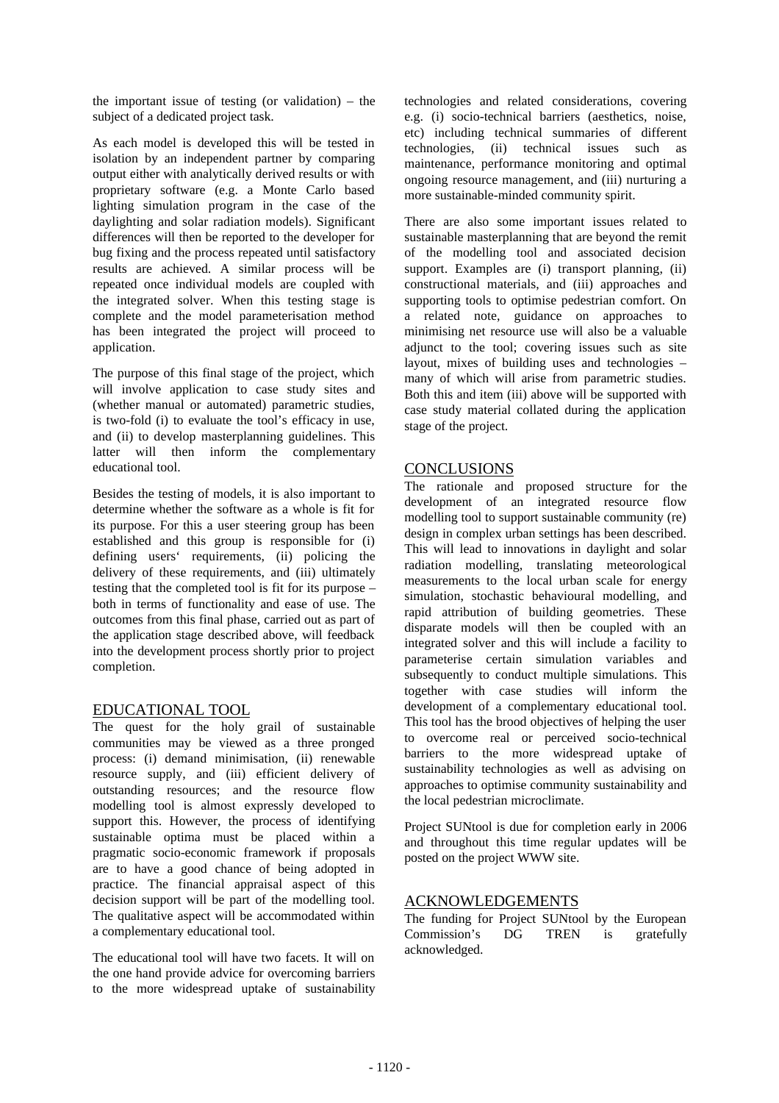the important issue of testing (or validation) – the subject of a dedicated project task.

As each model is developed this will be tested in isolation by an independent partner by comparing output either with analytically derived results or with proprietary software (e.g. a Monte Carlo based lighting simulation program in the case of the daylighting and solar radiation models). Significant differences will then be reported to the developer for bug fixing and the process repeated until satisfactory results are achieved. A similar process will be repeated once individual models are coupled with the integrated solver. When this testing stage is complete and the model parameterisation method has been integrated the project will proceed to application.

The purpose of this final stage of the project, which will involve application to case study sites and (whether manual or automated) parametric studies, is two-fold (i) to evaluate the tool's efficacy in use, and (ii) to develop masterplanning guidelines. This latter will then inform the complementary educational tool.

Besides the testing of models, it is also important to determine whether the software as a whole is fit for its purpose. For this a user steering group has been established and this group is responsible for (i) defining users' requirements, (ii) policing the delivery of these requirements, and (iii) ultimately testing that the completed tool is fit for its purpose – both in terms of functionality and ease of use. The outcomes from this final phase, carried out as part of the application stage described above, will feedback into the development process shortly prior to project completion.

## EDUCATIONAL TOOL

The quest for the holy grail of sustainable communities may be viewed as a three pronged process: (i) demand minimisation, (ii) renewable resource supply, and (iii) efficient delivery of outstanding resources; and the resource flow modelling tool is almost expressly developed to support this. However, the process of identifying sustainable optima must be placed within a pragmatic socio-economic framework if proposals are to have a good chance of being adopted in practice. The financial appraisal aspect of this decision support will be part of the modelling tool. The qualitative aspect will be accommodated within a complementary educational tool.

The educational tool will have two facets. It will on the one hand provide advice for overcoming barriers to the more widespread uptake of sustainability technologies and related considerations, covering e.g. (i) socio-technical barriers (aesthetics, noise, etc) including technical summaries of different technologies, (ii) technical issues such as maintenance, performance monitoring and optimal ongoing resource management, and (iii) nurturing a more sustainable-minded community spirit.

There are also some important issues related to sustainable masterplanning that are beyond the remit of the modelling tool and associated decision support. Examples are (i) transport planning, (ii) constructional materials, and (iii) approaches and supporting tools to optimise pedestrian comfort. On a related note, guidance on approaches to minimising net resource use will also be a valuable adjunct to the tool; covering issues such as site layout, mixes of building uses and technologies – many of which will arise from parametric studies. Both this and item (iii) above will be supported with case study material collated during the application stage of the project.

#### **CONCLUSIONS**

The rationale and proposed structure for the development of an integrated resource flow modelling tool to support sustainable community (re) design in complex urban settings has been described. This will lead to innovations in daylight and solar radiation modelling, translating meteorological measurements to the local urban scale for energy simulation, stochastic behavioural modelling, and rapid attribution of building geometries. These disparate models will then be coupled with an integrated solver and this will include a facility to parameterise certain simulation variables and subsequently to conduct multiple simulations. This together with case studies will inform the development of a complementary educational tool. This tool has the brood objectives of helping the user to overcome real or perceived socio-technical barriers to the more widespread uptake of sustainability technologies as well as advising on approaches to optimise community sustainability and the local pedestrian microclimate.

Project SUNtool is due for completion early in 2006 and throughout this time regular updates will be posted on the project WWW site.

## ACKNOWLEDGEMENTS

The funding for Project SUNtool by the European Commission's DG TREN is gratefully acknowledged.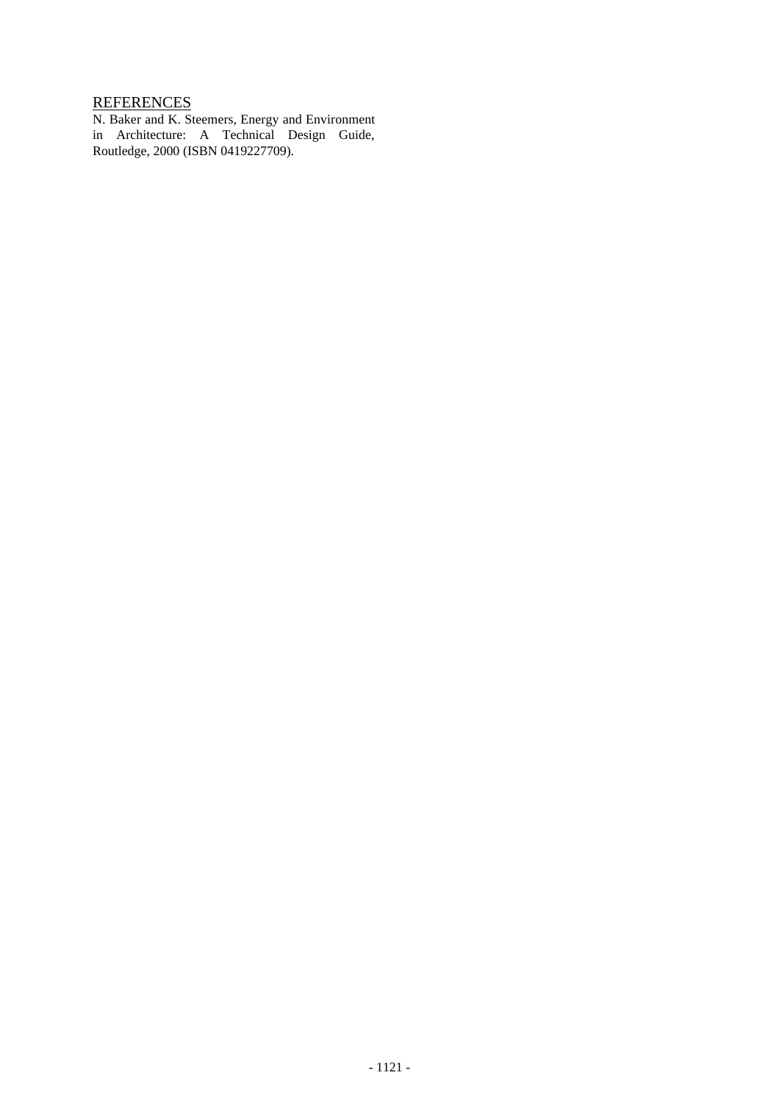# **REFERENCES**

N. Baker and K. Steemers, Energy and Environment in Architecture: A Technical Design Guide, Routledge, 2000 (ISBN 0419227709).